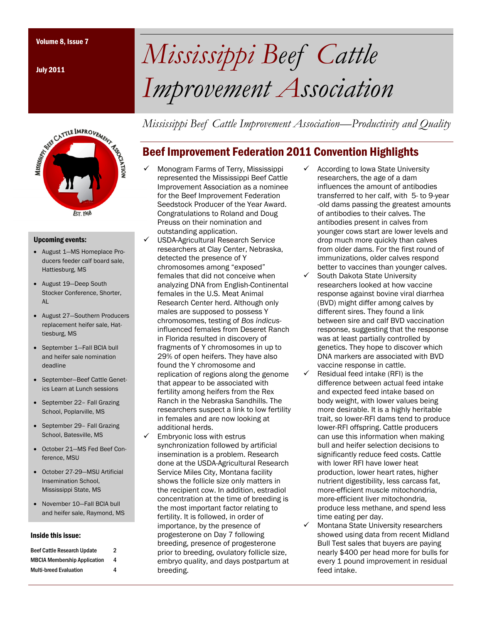July 2011



#### Upcoming events:

- August 1—MS Homeplace Producers feeder calf board sale, Hattiesburg, MS
- August 19—Deep South Stocker Conference, Shorter, AL
- August 27—Southern Producers replacement heifer sale, Hattiesburg, MS
- September 1—Fall BCIA bull and heifer sale nomination deadline
- September—Beef Cattle Genetics Learn at Lunch sessions
- September 22– Fall Grazing School, Poplarville, MS
- September 29- Fall Grazing School, Batesville, MS
- October 21—MS Fed Beef Conference, MSU
- October 27-29—MSU Artificial Insemination School, Mississippi State, MS
- November 10—Fall BCIA bull and heifer sale, Raymond, MS

#### Inside this issue:

| <b>Beef Cattle Research Update</b>  | $\overline{2}$ |
|-------------------------------------|----------------|
| <b>MBCIA Membership Application</b> | 4              |
| <b>Multi-breed Evaluation</b>       | 4              |

Volume 8, Issue 7 *Mississippi Beef Cattle Improvement Association* 

*Mississippi Beef Cattle Improvement Association—Productivity and Quality* 

# Beef Improvement Federation 2011 Convention Highlights

- 9 Monogram Farms of Terry, Mississippi represented the Mississippi Beef Cattle Improvement Association as a nominee for the Beef Improvement Federation Seedstock Producer of the Year Award. Congratulations to Roland and Doug Preuss on their nomination and outstanding application.
- USDA-Agricultural Research Service researchers at Clay Center, Nebraska, detected the presence of Y chromosomes among "exposed" females that did not conceive when analyzing DNA from English-Continental females in the U.S. Meat Animal Research Center herd. Although only males are supposed to possess Y chromosomes, testing of *Bos indicus*influenced females from Deseret Ranch in Florida resulted in discovery of fragments of Y chromosomes in up to 29% of open heifers. They have also found the Y chromosome and replication of regions along the genome that appear to be associated with fertility among heifers from the Rex Ranch in the Nebraska Sandhills. The researchers suspect a link to low fertility in females and are now looking at additional herds.
- Embryonic loss with estrus synchronization followed by artificial insemination is a problem. Research done at the USDA-Agricultural Research Service Miles City, Montana facility shows the follicle size only matters in the recipient cow. In addition, estradiol concentration at the time of breeding is the most important factor relating to fertility. It is followed, in order of importance, by the presence of progesterone on Day 7 following breeding, presence of progesterone prior to breeding, ovulatory follicle size, embryo quality, and days postpartum at breeding.
- According to Iowa State University researchers, the age of a dam influences the amount of antibodies transferred to her calf, with 5- to 9-year -old dams passing the greatest amounts of antibodies to their calves. The antibodies present in calves from younger cows start are lower levels and drop much more quickly than calves from older dams. For the first round of immunizations, older calves respond better to vaccines than younger calves.
- $\checkmark$  South Dakota State University researchers looked at how vaccine response against bovine viral diarrhea (BVD) might differ among calves by different sires. They found a link between sire and calf BVD vaccination response, suggesting that the response was at least partially controlled by genetics. They hope to discover which DNA markers are associated with BVD vaccine response in cattle.
- $\checkmark$  Residual feed intake (RFI) is the difference between actual feed intake and expected feed intake based on body weight, with lower values being more desirable. It is a highly heritable trait, so lower-RFI dams tend to produce lower-RFI offspring. Cattle producers can use this information when making bull and heifer selection decisions to significantly reduce feed costs. Cattle with lower RFI have lower heat production, lower heart rates, higher nutrient digestibility, less carcass fat, more-efficient muscle mitochondria, more-efficient liver mitochondria, produce less methane, and spend less time eating per day.
- $\checkmark$  Montana State University researchers showed using data from recent Midland Bull Test sales that buyers are paying nearly \$400 per head more for bulls for every 1 pound improvement in residual feed intake.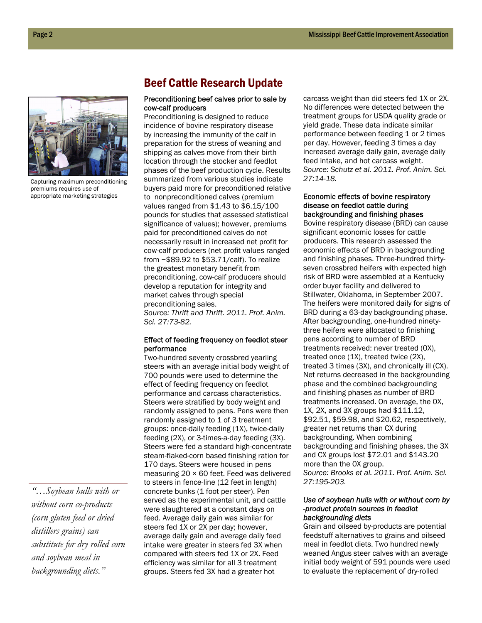

Capturing maximum preconditioning premiums requires use of appropriate marketing strategies

# Beef Cattle Research Update

## Preconditioning beef calves prior to sale by cow-calf producers

Preconditioning is designed to reduce incidence of bovine respiratory disease by increasing the immunity of the calf in preparation for the stress of weaning and shipping as calves move from their birth location through the stocker and feedlot phases of the beef production cycle. Results summarized from various studies indicate buyers paid more for preconditioned relative to nonpreconditioned calves (premium values ranged from \$1.43 to \$6.15/100 pounds for studies that assessed statistical significance of values); however, premiums paid for preconditioned calves do not necessarily result in increased net profit for cow-calf producers (net profit values ranged from −\$89.92 to \$53.71/calf). To realize the greatest monetary benefit from preconditioning, cow-calf producers should develop a reputation for integrity and market calves through special preconditioning sales. *Source: Thrift and Thrift. 2011. Prof. Anim. Sci. 27:73-82.* 

#### Effect of feeding frequency on feedlot steer performance

Two-hundred seventy crossbred yearling steers with an average initial body weight of 700 pounds were used to determine the effect of feeding frequency on feedlot performance and carcass characteristics. Steers were stratified by body weight and randomly assigned to pens. Pens were then randomly assigned to 1 of 3 treatment groups: once-daily feeding (1X), twice-daily feeding (2X), or 3-times-a-day feeding (3X). Steers were fed a standard high-concentrate steam-flaked-corn based finishing ration for 170 days. Steers were housed in pens measuring 20 × 60 feet. Feed was delivered to steers in fence-line (12 feet in length) concrete bunks (1 foot per steer). Pen served as the experimental unit, and cattle were slaughtered at a constant days on feed. Average daily gain was similar for steers fed 1X or 2X per day; however, average daily gain and average daily feed intake were greater in steers fed 3X when compared with steers fed 1X or 2X. Feed efficiency was similar for all 3 treatment groups. Steers fed 3X had a greater hot

carcass weight than did steers fed 1X or 2X. No differences were detected between the treatment groups for USDA quality grade or yield grade. These data indicate similar performance between feeding 1 or 2 times per day. However, feeding 3 times a day increased average daily gain, average daily feed intake, and hot carcass weight. *Source: Schutz et al. 2011. Prof. Anim. Sci. 27:14-18.* 

#### Economic effects of bovine respiratory disease on feedlot cattle during backgrounding and finishing phases

Bovine respiratory disease (BRD) can cause significant economic losses for cattle producers. This research assessed the economic effects of BRD in backgrounding and finishing phases. Three-hundred thirtyseven crossbred heifers with expected high risk of BRD were assembled at a Kentucky order buyer facility and delivered to Stillwater, Oklahoma, in September 2007. The heifers were monitored daily for signs of BRD during a 63-day backgrounding phase. After backgrounding, one-hundred ninetythree heifers were allocated to finishing pens according to number of BRD treatments received: never treated (0X), treated once (1X), treated twice (2X), treated 3 times (3X), and chronically ill (CX). Net returns decreased in the backgrounding phase and the combined backgrounding and finishing phases as number of BRD treatments increased. On average, the 0X, 1X, 2X, and 3X groups had \$111.12, \$92.51, \$59.98, and \$20.62, respectively, greater net returns than CX during backgrounding. When combining backgrounding and finishing phases, the 3X and CX groups lost \$72.01 and \$143.20 more than the 0X group. *Source: Brooks et al. 2011. Prof. Anim. Sci. 27:195-203.* 

### *Use of soybean hulls with or without corn by -product protein sources in feedlot backgrounding diets*

Grain and oilseed by-products are potential feedstuff alternatives to grains and oilseed meal in feedlot diets. Two hundred newly weaned Angus steer calves with an average initial body weight of 591 pounds were used to evaluate the replacement of dry-rolled

*"…Soybean hulls with or without corn co-products (corn gluten feed or dried distillers grains) can substitute for dry rolled corn and soybean meal in backgrounding diets."*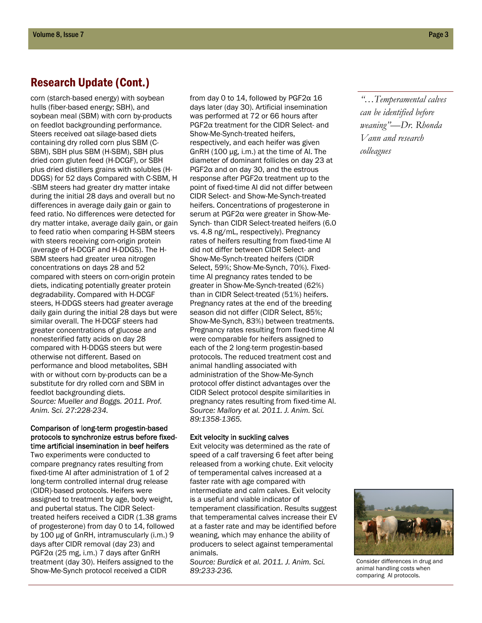# Research Update (Cont.)

corn (starch-based energy) with soybean hulls (fiber-based energy; SBH), and soybean meal (SBM) with corn by-products on feedlot backgrounding performance. Steers received oat silage-based diets containing dry rolled corn plus SBM (C-SBM), SBH plus SBM (H-SBM), SBH plus dried corn gluten feed (H-DCGF), or SBH plus dried distillers grains with solubles (H-DDGS) for 52 days Compared with C-SBM, H -SBM steers had greater dry matter intake during the initial 28 days and overall but no differences in average daily gain or gain to feed ratio. No differences were detected for dry matter intake, average daily gain, or gain to feed ratio when comparing H-SBM steers with steers receiving corn-origin protein (average of H-DCGF and H-DDGS). The H-SBM steers had greater urea nitrogen concentrations on days 28 and 52 compared with steers on corn-origin protein diets, indicating potentially greater protein degradability. Compared with H-DCGF steers, H-DDGS steers had greater average daily gain during the initial 28 days but were similar overall. The H-DCGF steers had greater concentrations of glucose and nonesterified fatty acids on day 28 compared with H-DDGS steers but were otherwise not different. Based on performance and blood metabolites, SBH with or without corn by-products can be a substitute for dry rolled corn and SBM in feedlot backgrounding diets. *Source: Mueller and Boggs. 2011. Prof. Anim. Sci. 27:228-234.* 

### Comparison of long-term progestin-based protocols to synchronize estrus before fixedtime artificial insemination in beef heifers

Two experiments were conducted to compare pregnancy rates resulting from fixed-time AI after administration of 1 of 2 long-term controlled internal drug release (CIDR)-based protocols. Heifers were assigned to treatment by age, body weight, and pubertal status. The CIDR Selecttreated heifers received a CIDR (1.38 grams of progesterone) from day 0 to 14, followed by 100 µg of GnRH, intramuscularly (i.m.) 9 days after CIDR removal (day 23) and PGF2α (25 mg, i.m.) 7 days after GnRH treatment (day 30). Heifers assigned to the Show-Me-Synch protocol received a CIDR

from day 0 to 14, followed by PGF2α 16 days later (day 30). Artificial insemination was performed at 72 or 66 hours after PGF2α treatment for the CIDR Select- and Show-Me-Synch-treated heifers, respectively, and each heifer was given GnRH (100 µg, i.m.) at the time of AI. The diameter of dominant follicles on day 23 at PGF2 $\alpha$  and on day 30, and the estrous response after PGF2α treatment up to the point of fixed-time AI did not differ between CIDR Select- and Show-Me-Synch-treated heifers. Concentrations of progesterone in serum at PGF2α were greater in Show-Me-Synch- than CIDR Select-treated heifers (6.0 vs. 4.8 ng/mL, respectively). Pregnancy rates of heifers resulting from fixed-time AI did not differ between CIDR Select- and Show-Me-Synch-treated heifers (CIDR Select, 59%; Show-Me-Synch, 70%). Fixedtime AI pregnancy rates tended to be greater in Show-Me-Synch-treated (62%) than in CIDR Select-treated (51%) heifers. Pregnancy rates at the end of the breeding season did not differ (CIDR Select, 85%; Show-Me-Synch, 83%) between treatments. Pregnancy rates resulting from fixed-time AI were comparable for heifers assigned to each of the 2 long-term progestin-based protocols. The reduced treatment cost and animal handling associated with administration of the Show-Me-Synch protocol offer distinct advantages over the CIDR Select protocol despite similarities in pregnancy rates resulting from fixed-time AI. *Source: Mallory et al. 2011. J. Anim. Sci. 89:1358-1365.* 

### Exit velocity in suckling calves

Exit velocity was determined as the rate of speed of a calf traversing 6 feet after being released from a working chute. Exit velocity of temperamental calves increased at a faster rate with age compared with intermediate and calm calves. Exit velocity is a useful and viable indicator of temperament classification. Results suggest that temperamental calves increase their EV at a faster rate and may be identified before weaning, which may enhance the ability of producers to select against temperamental animals.

*Source: Burdick et al. 2011. J. Anim. Sci. 89:233-236.*

*"…Temperamental calves can be identified before weaning"—Dr. Rhonda Vann and research colleagues* 



Consider differences in drug and animal handling costs when comparing AI protocols.